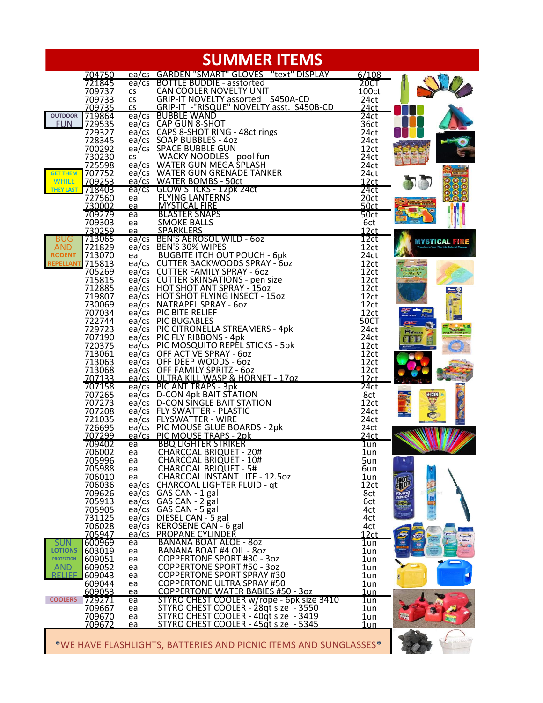| <b>SUMMER ITEMS</b>                             |                                     |                                                                                |                    |                                                                |
|-------------------------------------------------|-------------------------------------|--------------------------------------------------------------------------------|--------------------|----------------------------------------------------------------|
| 704750                                          |                                     | ea/cs GARDEN "SMART" GLOVES - "text" DISPLAY                                   | 6/108              |                                                                |
| 721845                                          | $ea$ / $cs$                         | <b>BOTTLE BUDDIE - asstorted</b>                                               | 20CT               |                                                                |
| 709737                                          | <b>CS</b>                           | CAN COOLER NOVELTY UNIT                                                        | 100ct              |                                                                |
| 709733<br>709735                                | <b>CS</b><br>$\overline{\text{CS}}$ | GRIP-IT NOVELTY assorted S450A-CD<br>GRIP-IT -"RISQUE" NOVELTY asst. S450B-CD  | 24ct<br>24ct       |                                                                |
| OUTDOOR 719864                                  |                                     | ea/cs BUBBLE WAND                                                              | 24ct               |                                                                |
| 729535<br><b>FUN</b>                            |                                     | ea/cs CAP GUN 8-SHOT                                                           | 36ct               |                                                                |
| 729327                                          |                                     | ea/cs CAPS 8-SHOT RING - 48ct rings                                            | 24ct               |                                                                |
| 728345                                          |                                     | ea/cs SOAP BUBBLES - 4oz                                                       | 24ct               |                                                                |
| 700292                                          |                                     | ea/cs SPACE BUBBLE GUN                                                         | 12ct               |                                                                |
| 730230<br>725598                                | <b>CS</b>                           | WACKY NOODLES - pool fun<br>ea/cs WATER GUN MEGA SPLASH                        | 24ct<br>24ct       |                                                                |
| 707752<br><b>GET THEM</b>                       |                                     | ea/cs WATER GUN GRENADE TANKER                                                 | 24ct               |                                                                |
| 709253<br><b>WHILE</b>                          |                                     | ea/cs WATER BOMBS - 50ct                                                       | 12ct               |                                                                |
| 718403<br><b>THEY LAST</b>                      |                                     | ea/cs GLOW STICKS - 12pk 24ct                                                  | 24ct               |                                                                |
| 727560                                          | ea                                  | <b>FLYING LANTERNS</b>                                                         | 20ct               | $\circledast$ $\circledast$                                    |
| 730002                                          | ea                                  | <b>MYSTICAL FIRE</b>                                                           | 50ct               |                                                                |
| 709279                                          | ea<br>ea                            | <b>BLASTER SNAPS</b><br><b>SMOKE BALLS</b>                                     | 50 <sub>ct</sub>   |                                                                |
| 709303<br>730259                                | ea                                  | <b>SPARKLERS</b>                                                               | 6ct<br>12ct        |                                                                |
| 713065<br><b>BUG</b>                            |                                     | ea/cs BEN'S AEROSOL WILD - 6oz                                                 | 12ct               | MYSTICAL FIRE                                                  |
| 721829<br><b>AND</b>                            |                                     | ea/cs BEN'S 30% WIPES                                                          | 12ct               |                                                                |
| 713070<br><b>RODENT</b>                         | ea                                  | <b>BUGBITE ITCH OUT POUCH - 6pk</b>                                            | 24ct               |                                                                |
| REPELLANT 715813                                |                                     | ea/cs CUTTER BACKWOODS SPRAY - 60Z                                             | 12ct               |                                                                |
| 705269                                          |                                     | ea/cs CUTTER FAMILY SPRAY - 6oz<br>ea/cs CUTTER SKINSATIONS - pen size         | 12ct               |                                                                |
| 715815<br>712885                                |                                     | ea/cs HOT SHOT ANT SPRAY - 15oz                                                | 12ct<br>12ct       |                                                                |
| 719807                                          |                                     | ea/cs HOT SHOT FLYING INSECT - 15oz                                            | 12ct               |                                                                |
| 730069                                          |                                     | ea/cs NATRAPEL SPRAY - 6oz                                                     | 12ct               |                                                                |
| 707034                                          |                                     | ea/cs PIC BITE RELIEF                                                          | 12ct               |                                                                |
| 722744                                          |                                     | ea/cs PIC BUGABLES                                                             | 50CT               |                                                                |
| 729723                                          |                                     | ea/cs PIC CITRONELLA STREAMERS - 4pk                                           | 24ct               | <b>Flymon</b>                                                  |
| 707190<br>720375                                |                                     | ea/cs PIC FLY RIBBONS - 4pk<br>ea/cs PIC MOSQUITO REPEL STICKS - 5pk           | 24ct<br>12ct       | EEN                                                            |
| 713061                                          |                                     | ea/cs OFF ACTIVE SPRAY - 6oz                                                   | 12ct               |                                                                |
| 713063                                          |                                     | ea/cs OFF DEEP WOODS - 6oz                                                     | 12ct               |                                                                |
| 713068                                          |                                     | ea/cs OFF FAMILY SPRITZ - 6oz                                                  | 12ct               |                                                                |
| 707133                                          |                                     | ea/cs ULTRA KILL WASP & HORNET - 1702                                          | 12ct               |                                                                |
| 707158                                          |                                     | ea/cs PIC ANT TRAPS - 3pk<br>ea/cs D-CON 4pk BAIT STATION                      | 24ct               |                                                                |
| 707265<br>707273                                |                                     | ea/cs D-CON SINGLE BAIT STATION                                                | 8ct<br>12ct        | Min.se<br><b>Min.se</b><br>$\frac{d \text{CON}}{d \text{CON}}$ |
| 707208                                          |                                     | ea/cs FLY SWATTER - PLASTIC                                                    | 24ct               | $\overline{\overline{6}}$<br>$=1$                              |
| 721035                                          |                                     | ea/cs FLYSWATTER - WIRE                                                        | 24ct               |                                                                |
| 726695                                          |                                     | ea/cs PIC MOUSE GLUE BOARDS - 2pk                                              | 24ct               |                                                                |
| 707299                                          |                                     | ea/cs PIC MOUSE TRAPS - 2pk                                                    | 24ct               |                                                                |
| 709402                                          | ea                                  | <b>BBQ LIGHTER STRIKER</b><br><b>CHARCOAL BRIQUET - 20#</b>                    | $1$ un             |                                                                |
| 706002<br>705996                                | ea<br>ea                            | <b>CHARCOAL BRIQUET - 10#</b>                                                  | 1un<br>5un         |                                                                |
| 705988                                          | ea                                  | <b>CHARCOAL BRIQUET - 5#</b>                                                   | 6un                |                                                                |
| 706010                                          | ea                                  | <b>CHARCOAL INSTANT LITE - 12.50Z</b>                                          | 1un                |                                                                |
| 706036                                          | ea/cs                               | <b>CHARCOAL LIGHTER FLUID - qt</b>                                             | 12ct               | 珊                                                              |
| 709626                                          |                                     | ea/cs GAS CAN - 1 gal                                                          | 8ct                | 画<br><b>Flying</b>                                             |
| 705913<br>705905                                |                                     | ea/cs GAS CAN - 2 gal<br>ea/cs GAS CAN - 5 gal                                 | 6ct                |                                                                |
| 731125                                          |                                     | ea/cs DIESEL CAN - 5 gal                                                       | 4ct<br>4ct         |                                                                |
| 706028                                          |                                     | ea/cs KEROSENE CAN - 6 gal                                                     | 4ct                |                                                                |
| 705947                                          |                                     | ea/cs PROPANE CYLINDER                                                         | <u>12ct</u>        |                                                                |
| 600969<br><b>SUN</b>                            | ea                                  | BANANA BOAT ALOE - 80Z                                                         | $1$ un             | <b>BABIES</b><br>$+ 50$                                        |
| <b>LOTIONS</b><br>603019                        | ea                                  | BANANA BOAT #4 OIL - 80Z                                                       | 1un                |                                                                |
| <b>PROTECTION</b><br>609051                     | ea                                  | <b>COPPERTONE SPORT #30 - 3oz</b><br><b>COPPERTONE SPORT #50 - 3oz</b>         | 1un                |                                                                |
| 609052<br><b>AND</b><br><b>RFLIFF</b><br>609043 | ea<br>ea                            | <b>COPPERTONE SPORT SPRAY #30</b>                                              | 1un<br>1un         |                                                                |
| 609044                                          | ea                                  | <b>COPPERTONE ULTRA SPRAY #50</b>                                              | 1un                |                                                                |
| 609053                                          | ea                                  | <b>COPPERTONE WATER BABIES #50 - 30Z</b>                                       | <u>1un</u>         |                                                                |
| <b>COOLERS</b><br>729271                        | ea                                  | STYRO CHEST COOLER w/rope - 6pk size 3410                                      | 1un                |                                                                |
| 709667                                          | ea                                  | STYRO CHEST COOLER - 28qt size - 3550<br>STYRO CHEST COOLER - 40qt size - 3419 | 1un                |                                                                |
| 709670<br>709672                                | ea<br>ea                            | <u>STYRO CHEST COOLER - 45at size - 5345</u>                                   | 1un<br><u>1un </u> |                                                                |
|                                                 |                                     |                                                                                |                    |                                                                |

\*WE HAVE FLASHLIGHTS, BATTERIES AND PICNIC ITEMS AND SUNGLASSES

L